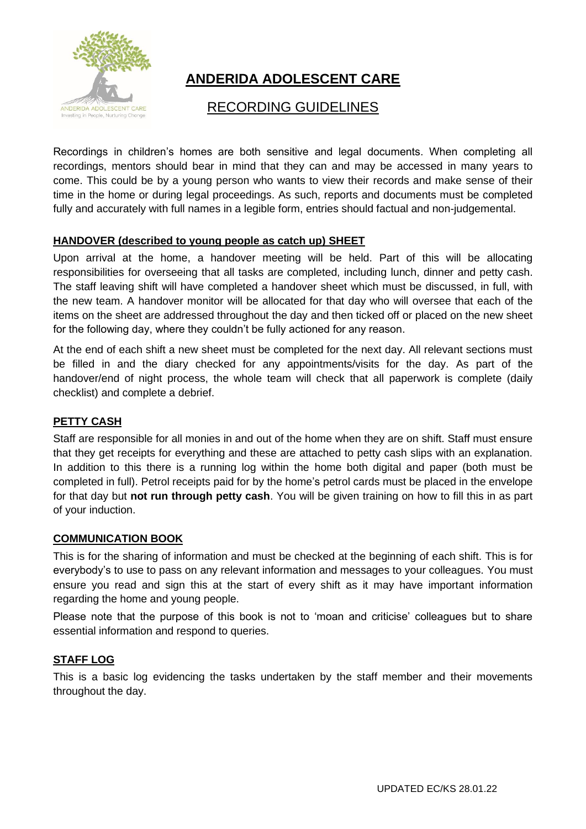

# **ANDERIDA ADOLESCENT CARE**

## RECORDING GUIDELINES

Recordings in children's homes are both sensitive and legal documents. When completing all recordings, mentors should bear in mind that they can and may be accessed in many years to come. This could be by a young person who wants to view their records and make sense of their time in the home or during legal proceedings. As such, reports and documents must be completed fully and accurately with full names in a legible form, entries should factual and non-judgemental.

#### **HANDOVER (described to young people as catch up) SHEET**

Upon arrival at the home, a handover meeting will be held. Part of this will be allocating responsibilities for overseeing that all tasks are completed, including lunch, dinner and petty cash. The staff leaving shift will have completed a handover sheet which must be discussed, in full, with the new team. A handover monitor will be allocated for that day who will oversee that each of the items on the sheet are addressed throughout the day and then ticked off or placed on the new sheet for the following day, where they couldn't be fully actioned for any reason.

At the end of each shift a new sheet must be completed for the next day. All relevant sections must be filled in and the diary checked for any appointments/visits for the day. As part of the handover/end of night process, the whole team will check that all paperwork is complete (daily checklist) and complete a debrief.

## **PETTY CASH**

Staff are responsible for all monies in and out of the home when they are on shift. Staff must ensure that they get receipts for everything and these are attached to petty cash slips with an explanation. In addition to this there is a running log within the home both digital and paper (both must be completed in full). Petrol receipts paid for by the home's petrol cards must be placed in the envelope for that day but **not run through petty cash**. You will be given training on how to fill this in as part of your induction.

#### **COMMUNICATION BOOK**

This is for the sharing of information and must be checked at the beginning of each shift. This is for everybody's to use to pass on any relevant information and messages to your colleagues. You must ensure you read and sign this at the start of every shift as it may have important information regarding the home and young people.

Please note that the purpose of this book is not to 'moan and criticise' colleagues but to share essential information and respond to queries.

## **STAFF LOG**

This is a basic log evidencing the tasks undertaken by the staff member and their movements throughout the day.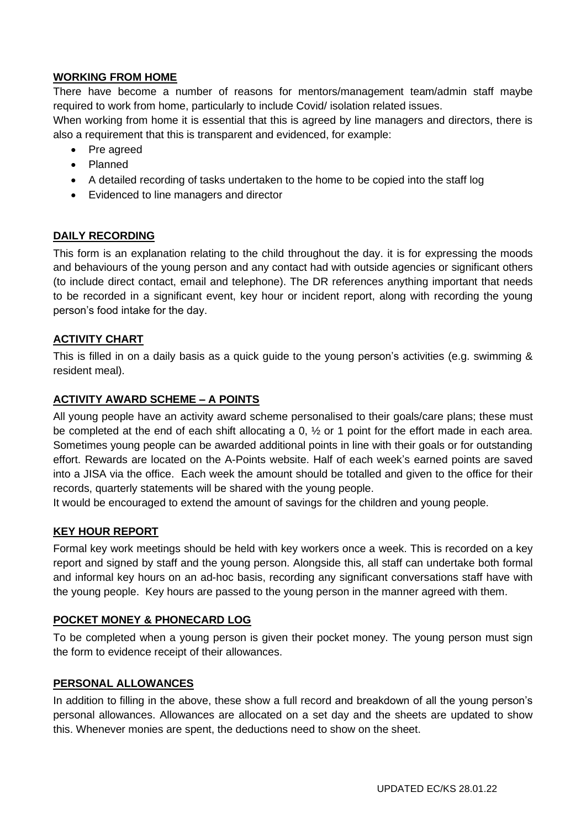## **WORKING FROM HOME**

There have become a number of reasons for mentors/management team/admin staff maybe required to work from home, particularly to include Covid/ isolation related issues. When working from home it is essential that this is agreed by line managers and directors, there is

also a requirement that this is transparent and evidenced, for example:

- Pre agreed
- Planned
- A detailed recording of tasks undertaken to the home to be copied into the staff log
- Evidenced to line managers and director

## **DAILY RECORDING**

This form is an explanation relating to the child throughout the day. it is for expressing the moods and behaviours of the young person and any contact had with outside agencies or significant others (to include direct contact, email and telephone). The DR references anything important that needs to be recorded in a significant event, key hour or incident report, along with recording the young person's food intake for the day.

#### **ACTIVITY CHART**

This is filled in on a daily basis as a quick guide to the young person's activities (e.g. swimming & resident meal).

#### **ACTIVITY AWARD SCHEME – A POINTS**

All young people have an activity award scheme personalised to their goals/care plans; these must be completed at the end of each shift allocating a 0,  $\frac{1}{2}$  or 1 point for the effort made in each area. Sometimes young people can be awarded additional points in line with their goals or for outstanding effort. Rewards are located on the A-Points website. Half of each week's earned points are saved into a JISA via the office. Each week the amount should be totalled and given to the office for their records, quarterly statements will be shared with the young people.

It would be encouraged to extend the amount of savings for the children and young people.

## **KEY HOUR REPORT**

Formal key work meetings should be held with key workers once a week. This is recorded on a key report and signed by staff and the young person. Alongside this, all staff can undertake both formal and informal key hours on an ad-hoc basis, recording any significant conversations staff have with the young people. Key hours are passed to the young person in the manner agreed with them.

#### **POCKET MONEY & PHONECARD LOG**

To be completed when a young person is given their pocket money. The young person must sign the form to evidence receipt of their allowances.

#### **PERSONAL ALLOWANCES**

In addition to filling in the above, these show a full record and breakdown of all the young person's personal allowances. Allowances are allocated on a set day and the sheets are updated to show this. Whenever monies are spent, the deductions need to show on the sheet.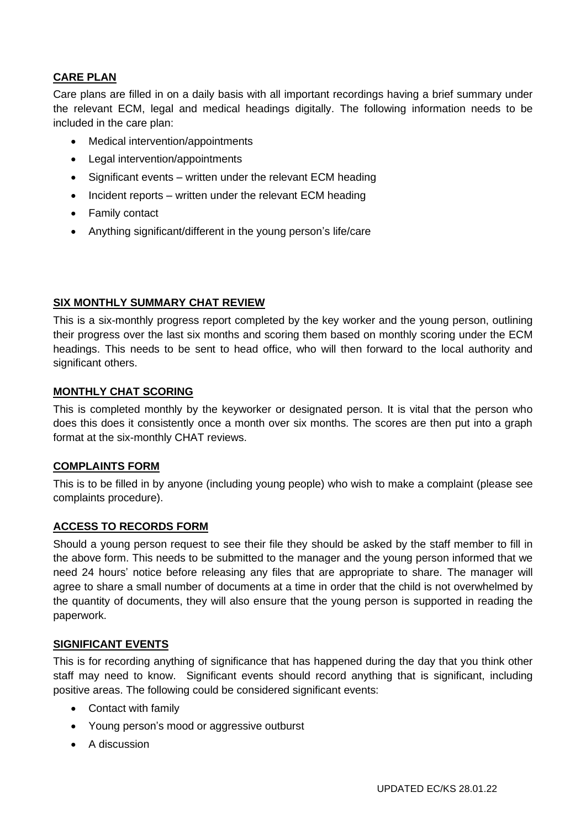## **CARE PLAN**

Care plans are filled in on a daily basis with all important recordings having a brief summary under the relevant ECM, legal and medical headings digitally. The following information needs to be included in the care plan:

- Medical intervention/appointments
- Legal intervention/appointments
- Significant events written under the relevant ECM heading
- Incident reports written under the relevant ECM heading
- Family contact
- Anything significant/different in the young person's life/care

#### **SIX MONTHLY SUMMARY CHAT REVIEW**

This is a six-monthly progress report completed by the key worker and the young person, outlining their progress over the last six months and scoring them based on monthly scoring under the ECM headings. This needs to be sent to head office, who will then forward to the local authority and significant others.

#### **MONTHLY CHAT SCORING**

This is completed monthly by the keyworker or designated person. It is vital that the person who does this does it consistently once a month over six months. The scores are then put into a graph format at the six-monthly CHAT reviews.

#### **COMPLAINTS FORM**

This is to be filled in by anyone (including young people) who wish to make a complaint (please see complaints procedure).

#### **ACCESS TO RECORDS FORM**

Should a young person request to see their file they should be asked by the staff member to fill in the above form. This needs to be submitted to the manager and the young person informed that we need 24 hours' notice before releasing any files that are appropriate to share. The manager will agree to share a small number of documents at a time in order that the child is not overwhelmed by the quantity of documents, they will also ensure that the young person is supported in reading the paperwork.

#### **SIGNIFICANT EVENTS**

This is for recording anything of significance that has happened during the day that you think other staff may need to know. Significant events should record anything that is significant, including positive areas. The following could be considered significant events:

- Contact with family
- Young person's mood or aggressive outburst
- A discussion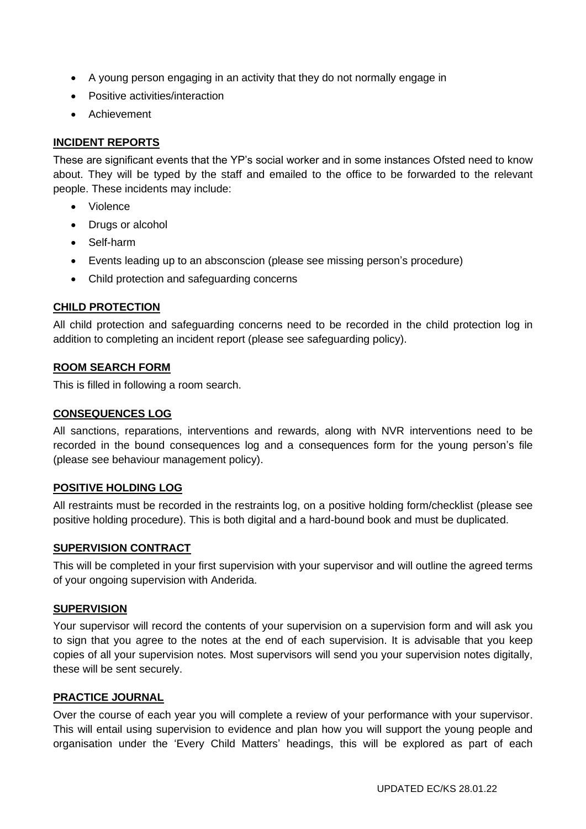- A young person engaging in an activity that they do not normally engage in
- Positive activities/interaction
- Achievement

## **INCIDENT REPORTS**

These are significant events that the YP's social worker and in some instances Ofsted need to know about. They will be typed by the staff and emailed to the office to be forwarded to the relevant people. These incidents may include:

- Violence
- Drugs or alcohol
- Self-harm
- Events leading up to an absconscion (please see missing person's procedure)
- Child protection and safeguarding concerns

#### **CHILD PROTECTION**

All child protection and safeguarding concerns need to be recorded in the child protection log in addition to completing an incident report (please see safeguarding policy).

#### **ROOM SEARCH FORM**

This is filled in following a room search.

#### **CONSEQUENCES LOG**

All sanctions, reparations, interventions and rewards, along with NVR interventions need to be recorded in the bound consequences log and a consequences form for the young person's file (please see behaviour management policy).

#### **POSITIVE HOLDING LOG**

All restraints must be recorded in the restraints log, on a positive holding form/checklist (please see positive holding procedure). This is both digital and a hard-bound book and must be duplicated.

#### **SUPERVISION CONTRACT**

This will be completed in your first supervision with your supervisor and will outline the agreed terms of your ongoing supervision with Anderida.

#### **SUPERVISION**

Your supervisor will record the contents of your supervision on a supervision form and will ask you to sign that you agree to the notes at the end of each supervision. It is advisable that you keep copies of all your supervision notes. Most supervisors will send you your supervision notes digitally, these will be sent securely.

#### **PRACTICE JOURNAL**

Over the course of each year you will complete a review of your performance with your supervisor. This will entail using supervision to evidence and plan how you will support the young people and organisation under the 'Every Child Matters' headings, this will be explored as part of each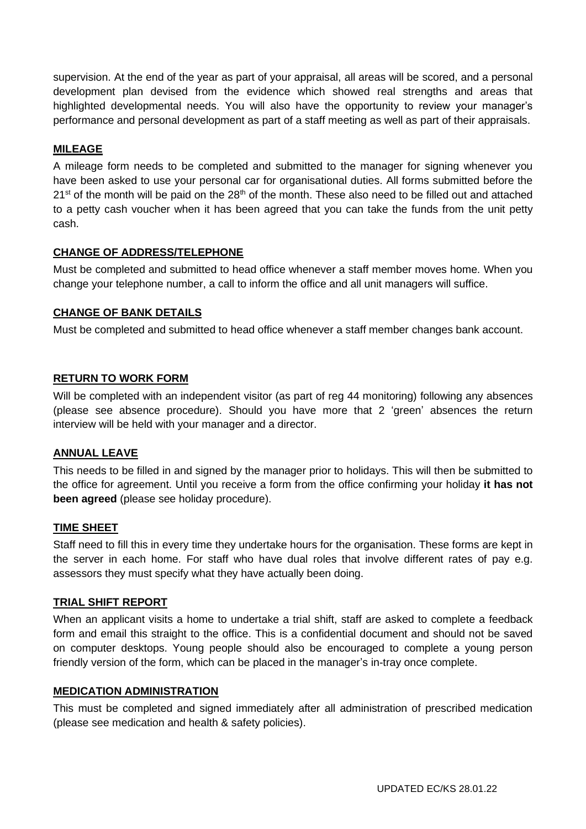supervision. At the end of the year as part of your appraisal, all areas will be scored, and a personal development plan devised from the evidence which showed real strengths and areas that highlighted developmental needs. You will also have the opportunity to review your manager's performance and personal development as part of a staff meeting as well as part of their appraisals.

## **MILEAGE**

A mileage form needs to be completed and submitted to the manager for signing whenever you have been asked to use your personal car for organisational duties. All forms submitted before the  $21<sup>st</sup>$  of the month will be paid on the  $28<sup>th</sup>$  of the month. These also need to be filled out and attached to a petty cash voucher when it has been agreed that you can take the funds from the unit petty cash.

#### **CHANGE OF ADDRESS/TELEPHONE**

Must be completed and submitted to head office whenever a staff member moves home. When you change your telephone number, a call to inform the office and all unit managers will suffice.

#### **CHANGE OF BANK DETAILS**

Must be completed and submitted to head office whenever a staff member changes bank account.

#### **RETURN TO WORK FORM**

Will be completed with an independent visitor (as part of reg 44 monitoring) following any absences (please see absence procedure). Should you have more that 2 'green' absences the return interview will be held with your manager and a director.

#### **ANNUAL LEAVE**

This needs to be filled in and signed by the manager prior to holidays. This will then be submitted to the office for agreement. Until you receive a form from the office confirming your holiday **it has not been agreed** (please see holiday procedure).

#### **TIME SHEET**

Staff need to fill this in every time they undertake hours for the organisation. These forms are kept in the server in each home. For staff who have dual roles that involve different rates of pay e.g. assessors they must specify what they have actually been doing.

#### **TRIAL SHIFT REPORT**

When an applicant visits a home to undertake a trial shift, staff are asked to complete a feedback form and email this straight to the office. This is a confidential document and should not be saved on computer desktops. Young people should also be encouraged to complete a young person friendly version of the form, which can be placed in the manager's in-tray once complete.

#### **MEDICATION ADMINISTRATION**

This must be completed and signed immediately after all administration of prescribed medication (please see medication and health & safety policies).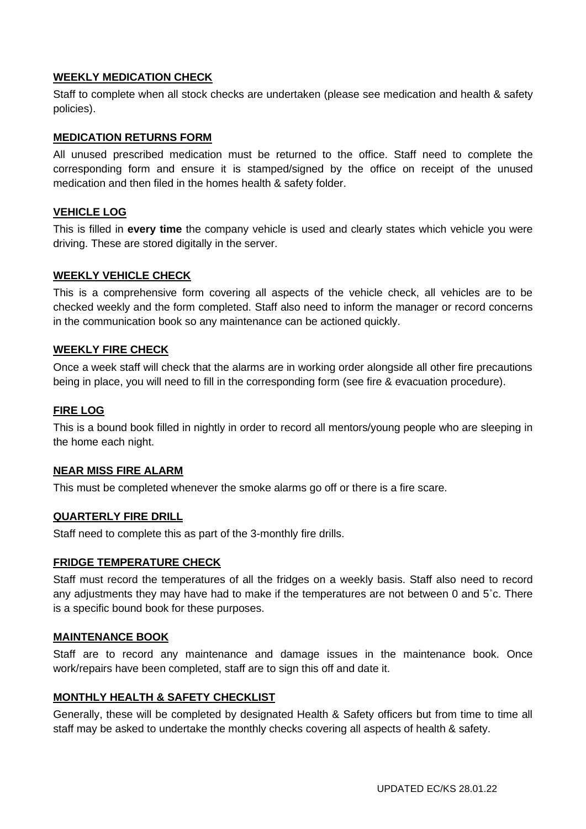#### **WEEKLY MEDICATION CHECK**

Staff to complete when all stock checks are undertaken (please see medication and health & safety policies).

#### **MEDICATION RETURNS FORM**

All unused prescribed medication must be returned to the office. Staff need to complete the corresponding form and ensure it is stamped/signed by the office on receipt of the unused medication and then filed in the homes health & safety folder.

#### **VEHICLE LOG**

This is filled in **every time** the company vehicle is used and clearly states which vehicle you were driving. These are stored digitally in the server.

#### **WEEKLY VEHICLE CHECK**

This is a comprehensive form covering all aspects of the vehicle check, all vehicles are to be checked weekly and the form completed. Staff also need to inform the manager or record concerns in the communication book so any maintenance can be actioned quickly.

#### **WEEKLY FIRE CHECK**

Once a week staff will check that the alarms are in working order alongside all other fire precautions being in place, you will need to fill in the corresponding form (see fire & evacuation procedure).

#### **FIRE LOG**

This is a bound book filled in nightly in order to record all mentors/young people who are sleeping in the home each night.

#### **NEAR MISS FIRE ALARM**

This must be completed whenever the smoke alarms go off or there is a fire scare.

#### **QUARTERLY FIRE DRILL**

Staff need to complete this as part of the 3-monthly fire drills.

#### **FRIDGE TEMPERATURE CHECK**

Staff must record the temperatures of all the fridges on a weekly basis. Staff also need to record any adjustments they may have had to make if the temperatures are not between 0 and 5˚c. There is a specific bound book for these purposes.

#### **MAINTENANCE BOOK**

Staff are to record any maintenance and damage issues in the maintenance book. Once work/repairs have been completed, staff are to sign this off and date it.

#### **MONTHLY HEALTH & SAFETY CHECKLIST**

Generally, these will be completed by designated Health & Safety officers but from time to time all staff may be asked to undertake the monthly checks covering all aspects of health & safety.